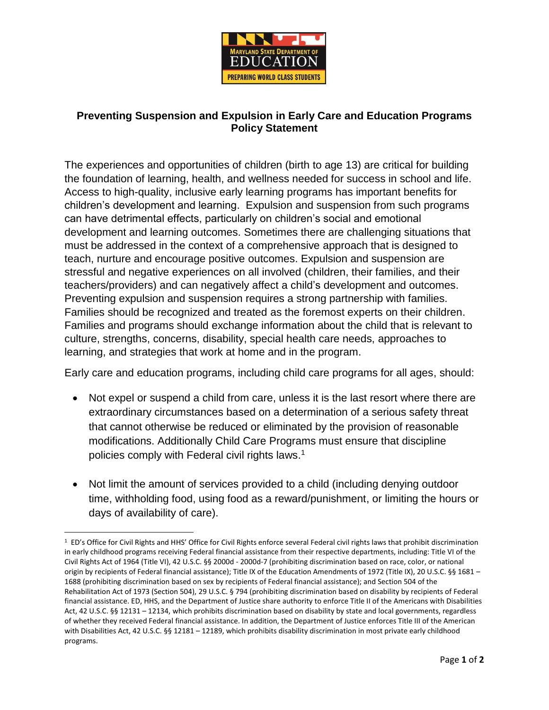

## **Preventing Suspension and Expulsion in Early Care and Education Programs Policy Statement**

The experiences and opportunities of children (birth to age 13) are critical for building the foundation of learning, health, and wellness needed for success in school and life. Access to high-quality, inclusive early learning programs has important benefits for children's development and learning. Expulsion and suspension from such programs can have detrimental effects, particularly on children's social and emotional development and learning outcomes. Sometimes there are challenging situations that must be addressed in the context of a comprehensive approach that is designed to teach, nurture and encourage positive outcomes. Expulsion and suspension are stressful and negative experiences on all involved (children, their families, and their teachers/providers) and can negatively affect a child's development and outcomes. Preventing expulsion and suspension requires a strong partnership with families. Families should be recognized and treated as the foremost experts on their children. Families and programs should exchange information about the child that is relevant to culture, strengths, concerns, disability, special health care needs, approaches to learning, and strategies that work at home and in the program.

Early care and education programs, including child care programs for all ages, should:

- Not expel or suspend a child from care, unless it is the last resort where there are extraordinary circumstances based on a determination of a serious safety threat that cannot otherwise be reduced or eliminated by the provision of reasonable modifications. Additionally Child Care Programs must ensure that discipline policies comply with Federal civil rights laws.<sup>1</sup>
- Not limit the amount of services provided to a child (including denying outdoor time, withholding food, using food as a reward/punishment, or limiting the hours or days of availability of care).

 $\overline{a}$ 

<sup>&</sup>lt;sup>1</sup> ED's Office for Civil Rights and HHS' Office for Civil Rights enforce several Federal civil rights laws that prohibit discrimination in early childhood programs receiving Federal financial assistance from their respective departments, including: Title VI of the Civil Rights Act of 1964 (Title VI), 42 U.S.C. §§ 2000d - 2000d-7 (prohibiting discrimination based on race, color, or national origin by recipients of Federal financial assistance); Title IX of the Education Amendments of 1972 (Title IX), 20 U.S.C. §§ 1681 – 1688 (prohibiting discrimination based on sex by recipients of Federal financial assistance); and Section 504 of the Rehabilitation Act of 1973 (Section 504), 29 U.S.C. § 794 (prohibiting discrimination based on disability by recipients of Federal financial assistance. ED, HHS, and the Department of Justice share authority to enforce Title II of the Americans with Disabilities Act, 42 U.S.C. §§ 12131 – 12134, which prohibits discrimination based on disability by state and local governments, regardless of whether they received Federal financial assistance. In addition, the Department of Justice enforces Title III of the American with Disabilities Act, 42 U.S.C. §§ 12181 – 12189, which prohibits disability discrimination in most private early childhood programs.